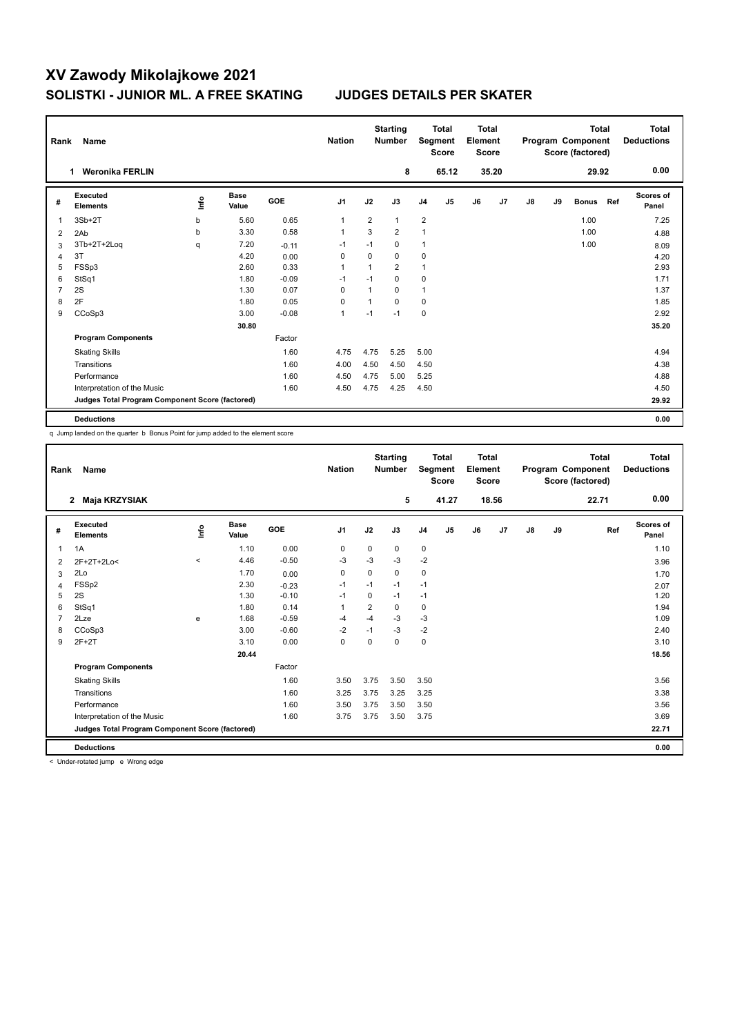|                | Rank<br>Name                                    |      |                      |         | <b>Nation</b>  |                | <b>Starting</b><br><b>Total</b><br>Segment<br><b>Number</b><br><b>Score</b> |                |                |    | <b>Total</b><br>Element<br><b>Score</b> |    | Program Component<br>Score (factored) | <b>Total</b> | Total<br><b>Deductions</b> |                           |
|----------------|-------------------------------------------------|------|----------------------|---------|----------------|----------------|-----------------------------------------------------------------------------|----------------|----------------|----|-----------------------------------------|----|---------------------------------------|--------------|----------------------------|---------------------------|
|                | <b>Weronika FERLIN</b>                          |      |                      |         |                |                | 8                                                                           |                | 65.12          |    | 35.20                                   |    |                                       | 29.92        |                            | 0.00                      |
| #              | Executed<br><b>Elements</b>                     | ١nf٥ | <b>Base</b><br>Value | GOE     | J <sub>1</sub> | J2             | J3                                                                          | J <sub>4</sub> | J <sub>5</sub> | J6 | J7                                      | J8 | J9                                    | <b>Bonus</b> | Ref                        | <b>Scores of</b><br>Panel |
| 1              | $3Sb+2T$                                        | b    | 5.60                 | 0.65    | $\overline{1}$ | $\overline{2}$ | $\mathbf{1}$                                                                | $\overline{2}$ |                |    |                                         |    |                                       | 1.00         |                            | 7.25                      |
| $\overline{2}$ | 2Ab                                             | b    | 3.30                 | 0.58    | $\mathbf{1}$   | 3              | $\overline{2}$                                                              | 1              |                |    |                                         |    |                                       | 1.00         |                            | 4.88                      |
| 3              | 3Tb+2T+2Loq                                     | q    | 7.20                 | $-0.11$ | $-1$           | $-1$           | $\mathbf 0$                                                                 | 1              |                |    |                                         |    |                                       | 1.00         |                            | 8.09                      |
| $\overline{4}$ | 3T                                              |      | 4.20                 | 0.00    | 0              | 0              | 0                                                                           | 0              |                |    |                                         |    |                                       |              |                            | 4.20                      |
| 5              | FSSp3                                           |      | 2.60                 | 0.33    | -1             | 1              | $\overline{2}$                                                              | 1              |                |    |                                         |    |                                       |              |                            | 2.93                      |
| 6              | StSq1                                           |      | 1.80                 | $-0.09$ | $-1$           | $-1$           | $\Omega$                                                                    | 0              |                |    |                                         |    |                                       |              |                            | 1.71                      |
| 7              | 2S                                              |      | 1.30                 | 0.07    | $\Omega$       | $\mathbf{1}$   | $\Omega$                                                                    | 1              |                |    |                                         |    |                                       |              |                            | 1.37                      |
| 8              | 2F                                              |      | 1.80                 | 0.05    | $\Omega$       | $\overline{1}$ | $\Omega$                                                                    | 0              |                |    |                                         |    |                                       |              |                            | 1.85                      |
| 9              | CCoSp3                                          |      | 3.00                 | $-0.08$ | $\overline{1}$ | $-1$           | $-1$                                                                        | 0              |                |    |                                         |    |                                       |              |                            | 2.92                      |
|                |                                                 |      | 30.80                |         |                |                |                                                                             |                |                |    |                                         |    |                                       |              |                            | 35.20                     |
|                | <b>Program Components</b>                       |      |                      | Factor  |                |                |                                                                             |                |                |    |                                         |    |                                       |              |                            |                           |
|                | <b>Skating Skills</b>                           |      |                      | 1.60    | 4.75           | 4.75           | 5.25                                                                        | 5.00           |                |    |                                         |    |                                       |              |                            | 4.94                      |
|                | Transitions                                     |      |                      | 1.60    | 4.00           | 4.50           | 4.50                                                                        | 4.50           |                |    |                                         |    |                                       |              |                            | 4.38                      |
|                | Performance                                     |      |                      | 1.60    | 4.50           | 4.75           | 5.00                                                                        | 5.25           |                |    |                                         |    |                                       |              |                            | 4.88                      |
|                | Interpretation of the Music                     |      |                      | 1.60    | 4.50           | 4.75           | 4.25                                                                        | 4.50           |                |    |                                         |    |                                       |              |                            | 4.50                      |
|                | Judges Total Program Component Score (factored) |      |                      |         |                |                |                                                                             |                |                |    |                                         |    |                                       |              |                            | 29.92                     |
|                | <b>Deductions</b>                               |      |                      |         |                |                |                                                                             |                |                |    |                                         |    |                                       |              |                            | 0.00                      |

q Jump landed on the quarter b Bonus Point for jump added to the element score

| Rank           | <b>Name</b>                                     |         |                      |         | <b>Nation</b>  |      | <b>Starting</b><br><b>Number</b> | Segment        | <b>Total</b><br><b>Score</b> | <b>Total</b><br>Element<br><b>Score</b> |       |               |    | <b>Total</b><br>Program Component<br>Score (factored) | <b>Total</b><br><b>Deductions</b> |
|----------------|-------------------------------------------------|---------|----------------------|---------|----------------|------|----------------------------------|----------------|------------------------------|-----------------------------------------|-------|---------------|----|-------------------------------------------------------|-----------------------------------|
|                | Maja KRZYSIAK<br>$\mathbf{2}$                   |         |                      |         |                |      | 5                                |                | 41.27                        |                                         | 18.56 |               |    | 22.71                                                 | 0.00                              |
| #              | Executed<br><b>Elements</b>                     | lnfo    | <b>Base</b><br>Value | GOE     | J <sub>1</sub> | J2   | J3                               | J <sub>4</sub> | J5                           | J6                                      | J7    | $\mathsf{J}8$ | J9 | Ref                                                   | Scores of<br>Panel                |
| $\mathbf{1}$   | 1A                                              |         | 1.10                 | 0.00    | 0              | 0    | 0                                | $\pmb{0}$      |                              |                                         |       |               |    |                                                       | 1.10                              |
| 2              | 2F+2T+2Lo<                                      | $\prec$ | 4.46                 | $-0.50$ | -3             | $-3$ | $-3$                             | $-2$           |                              |                                         |       |               |    |                                                       | 3.96                              |
| 3              | 2Lo                                             |         | 1.70                 | 0.00    | 0              | 0    | 0                                | 0              |                              |                                         |       |               |    |                                                       | 1.70                              |
| $\overline{4}$ | FSSp2                                           |         | 2.30                 | $-0.23$ | $-1$           | $-1$ | $-1$                             | $-1$           |                              |                                         |       |               |    |                                                       | 2.07                              |
| 5              | 2S                                              |         | 1.30                 | $-0.10$ | $-1$           | 0    | $-1$                             | $-1$           |                              |                                         |       |               |    |                                                       | 1.20                              |
| 6              | StSq1                                           |         | 1.80                 | 0.14    | $\mathbf{1}$   | 2    | 0                                | 0              |                              |                                         |       |               |    |                                                       | 1.94                              |
| 7              | 2Lze                                            | e       | 1.68                 | $-0.59$ | $-4$           | $-4$ | $-3$                             | $-3$           |                              |                                         |       |               |    |                                                       | 1.09                              |
| 8              | CCoSp3                                          |         | 3.00                 | $-0.60$ | $-2$           | $-1$ | $-3$                             | $-2$           |                              |                                         |       |               |    |                                                       | 2.40                              |
| 9              | $2F+2T$                                         |         | 3.10                 | 0.00    | $\mathbf 0$    | 0    | 0                                | $\mathbf 0$    |                              |                                         |       |               |    |                                                       | 3.10                              |
|                |                                                 |         | 20.44                |         |                |      |                                  |                |                              |                                         |       |               |    |                                                       | 18.56                             |
|                | <b>Program Components</b>                       |         |                      | Factor  |                |      |                                  |                |                              |                                         |       |               |    |                                                       |                                   |
|                | <b>Skating Skills</b>                           |         |                      | 1.60    | 3.50           | 3.75 | 3.50                             | 3.50           |                              |                                         |       |               |    |                                                       | 3.56                              |
|                | Transitions                                     |         |                      | 1.60    | 3.25           | 3.75 | 3.25                             | 3.25           |                              |                                         |       |               |    |                                                       | 3.38                              |
|                | Performance                                     |         |                      | 1.60    | 3.50           | 3.75 | 3.50                             | 3.50           |                              |                                         |       |               |    |                                                       | 3.56                              |
|                | Interpretation of the Music                     |         |                      | 1.60    | 3.75           | 3.75 | 3.50                             | 3.75           |                              |                                         |       |               |    |                                                       | 3.69                              |
|                | Judges Total Program Component Score (factored) |         |                      |         |                |      |                                  |                |                              |                                         |       |               |    |                                                       | 22.71                             |
|                | <b>Deductions</b>                               |         |                      |         |                |      |                                  |                |                              |                                         |       |               |    |                                                       | 0.00                              |

< Under-rotated jump e Wrong edge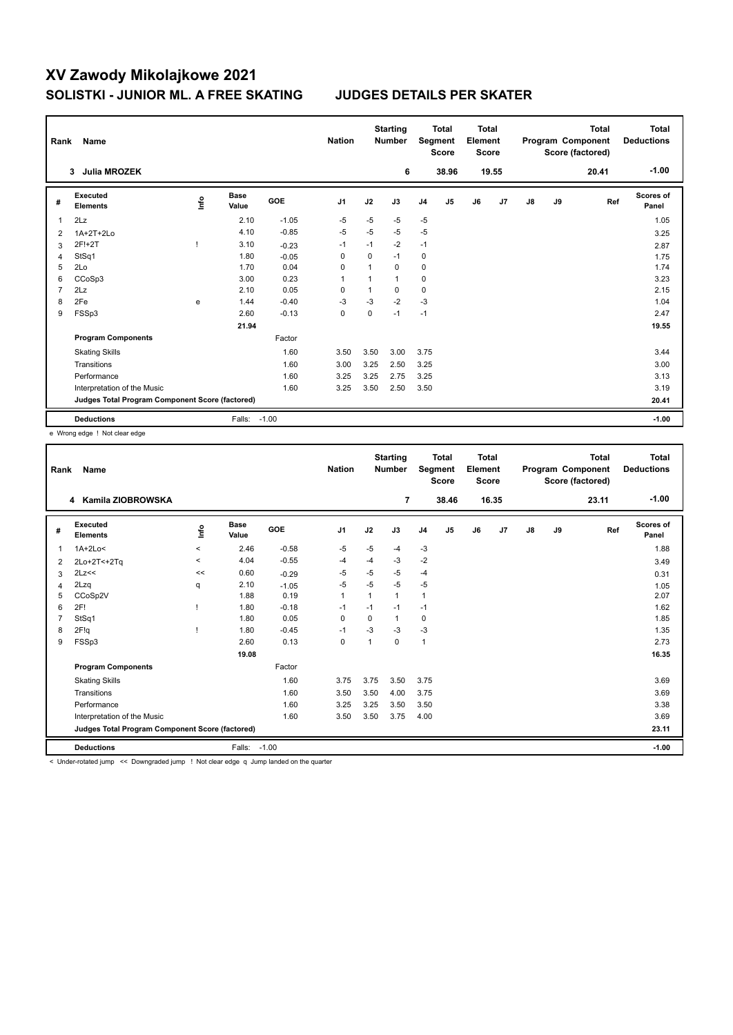|   | Rank<br>Name                                    |      |                      |            | <b>Nation</b>  |              | <b>Starting</b><br><b>Total</b><br>Segment<br><b>Number</b><br><b>Score</b> |                | Total<br>Element<br><b>Score</b> |    | <b>Total</b><br>Program Component<br>Score (factored) |    |    | Total<br><b>Deductions</b> |                    |
|---|-------------------------------------------------|------|----------------------|------------|----------------|--------------|-----------------------------------------------------------------------------|----------------|----------------------------------|----|-------------------------------------------------------|----|----|----------------------------|--------------------|
|   | <b>Julia MROZEK</b><br>3                        |      |                      |            |                |              | 6                                                                           |                | 38.96                            |    | 19.55                                                 |    |    | 20.41                      | $-1.00$            |
| # | Executed<br><b>Elements</b>                     | lnfo | <b>Base</b><br>Value | <b>GOE</b> | J <sub>1</sub> | J2           | J3                                                                          | J <sub>4</sub> | J <sub>5</sub>                   | J6 | J7                                                    | J8 | J9 | Ref                        | Scores of<br>Panel |
| 1 | 2Lz                                             |      | 2.10                 | $-1.05$    | $-5$           | $-5$         | $-5$                                                                        | $-5$           |                                  |    |                                                       |    |    |                            | 1.05               |
| 2 | 1A+2T+2Lo                                       |      | 4.10                 | $-0.85$    | $-5$           | $-5$         | $-5$                                                                        | $-5$           |                                  |    |                                                       |    |    |                            | 3.25               |
| 3 | 2F!+2T                                          |      | 3.10                 | $-0.23$    | $-1$           | $-1$         | $-2$                                                                        | $-1$           |                                  |    |                                                       |    |    |                            | 2.87               |
| 4 | StSq1                                           |      | 1.80                 | $-0.05$    | $\Omega$       | $\Omega$     | $-1$                                                                        | $\mathbf 0$    |                                  |    |                                                       |    |    |                            | 1.75               |
| 5 | 2Lo                                             |      | 1.70                 | 0.04       | 0              | 1            | 0                                                                           | 0              |                                  |    |                                                       |    |    |                            | 1.74               |
| 6 | CCoSp3                                          |      | 3.00                 | 0.23       | $\overline{1}$ | 1            | $\mathbf{1}$                                                                | $\mathbf 0$    |                                  |    |                                                       |    |    |                            | 3.23               |
| 7 | 2Lz                                             |      | 2.10                 | 0.05       | 0              | $\mathbf{1}$ | 0                                                                           | $\mathbf 0$    |                                  |    |                                                       |    |    |                            | 2.15               |
| 8 | 2Fe                                             | e    | 1.44                 | $-0.40$    | $-3$           | $-3$         | $-2$                                                                        | $-3$           |                                  |    |                                                       |    |    |                            | 1.04               |
| 9 | FSSp3                                           |      | 2.60                 | $-0.13$    | 0              | 0            | $-1$                                                                        | $-1$           |                                  |    |                                                       |    |    |                            | 2.47               |
|   |                                                 |      | 21.94                |            |                |              |                                                                             |                |                                  |    |                                                       |    |    |                            | 19.55              |
|   | <b>Program Components</b>                       |      |                      | Factor     |                |              |                                                                             |                |                                  |    |                                                       |    |    |                            |                    |
|   | <b>Skating Skills</b>                           |      |                      | 1.60       | 3.50           | 3.50         | 3.00                                                                        | 3.75           |                                  |    |                                                       |    |    |                            | 3.44               |
|   | Transitions                                     |      |                      | 1.60       | 3.00           | 3.25         | 2.50                                                                        | 3.25           |                                  |    |                                                       |    |    |                            | 3.00               |
|   | Performance                                     |      |                      | 1.60       | 3.25           | 3.25         | 2.75                                                                        | 3.25           |                                  |    |                                                       |    |    |                            | 3.13               |
|   | Interpretation of the Music                     |      |                      | 1.60       | 3.25           | 3.50         | 2.50                                                                        | 3.50           |                                  |    |                                                       |    |    |                            | 3.19               |
|   | Judges Total Program Component Score (factored) |      |                      |            |                |              |                                                                             |                |                                  |    |                                                       |    |    |                            | 20.41              |
|   | <b>Deductions</b>                               |      | Falls:               | $-1.00$    |                |              |                                                                             |                |                                  |    |                                                       |    |    |                            | $-1.00$            |

e Wrong edge ! Not clear edge

| Rank | Name                                            |          |                      |         | <b>Nation</b>  |                         | <b>Starting</b><br><b>Number</b> |                | <b>Total</b><br>Segment<br><b>Score</b> | <b>Total</b><br>Element<br><b>Score</b> |       |    |    | <b>Total</b><br>Program Component<br>Score (factored) | <b>Total</b><br><b>Deductions</b> |
|------|-------------------------------------------------|----------|----------------------|---------|----------------|-------------------------|----------------------------------|----------------|-----------------------------------------|-----------------------------------------|-------|----|----|-------------------------------------------------------|-----------------------------------|
|      | Kamila ZIOBROWSKA<br>4                          |          |                      |         |                |                         | 7                                |                | 38.46                                   |                                         | 16.35 |    |    | 23.11                                                 | $-1.00$                           |
| #    | Executed<br><b>Elements</b>                     | ١f       | <b>Base</b><br>Value | GOE     | J <sub>1</sub> | J2                      | J3                               | J <sub>4</sub> | J <sub>5</sub>                          | J6                                      | J7    | J8 | J9 | Ref                                                   | <b>Scores of</b><br>Panel         |
| 1    | $1A+2Lo<$                                       | $\hat{}$ | 2.46                 | $-0.58$ | -5             | $-5$                    | $-4$                             | $-3$           |                                         |                                         |       |    |    |                                                       | 1.88                              |
| 2    | 2Lo+2T<+2Tq                                     | $\prec$  | 4.04                 | $-0.55$ | -4             | $-4$                    | $-3$                             | $-2$           |                                         |                                         |       |    |    |                                                       | 3.49                              |
| 3    | 2Lz<<                                           | <<       | 0.60                 | $-0.29$ | -5             | $-5$                    | -5                               | $-4$           |                                         |                                         |       |    |    |                                                       | 0.31                              |
| 4    | 2Lzq                                            | q        | 2.10                 | $-1.05$ | $-5$           | $-5$                    | $-5$                             | $-5$           |                                         |                                         |       |    |    |                                                       | 1.05                              |
| 5    | CCoSp2V                                         |          | 1.88                 | 0.19    | $\mathbf{1}$   | $\mathbf{1}$            | 1                                | $\mathbf{1}$   |                                         |                                         |       |    |    |                                                       | 2.07                              |
| 6    | 2F!                                             |          | 1.80                 | $-0.18$ | $-1$           | $-1$                    | $-1$                             | $-1$           |                                         |                                         |       |    |    |                                                       | 1.62                              |
| 7    | StSq1                                           |          | 1.80                 | 0.05    | 0              | 0                       | 1                                | $\mathbf 0$    |                                         |                                         |       |    |    |                                                       | 1.85                              |
| 8    | 2F!q                                            |          | 1.80                 | $-0.45$ | $-1$           | $-3$                    | $-3$                             | $-3$           |                                         |                                         |       |    |    |                                                       | 1.35                              |
| 9    | FSSp3                                           |          | 2.60                 | 0.13    | $\mathbf 0$    | $\overline{\mathbf{1}}$ | $\Omega$                         | $\mathbf{1}$   |                                         |                                         |       |    |    |                                                       | 2.73                              |
|      |                                                 |          | 19.08                |         |                |                         |                                  |                |                                         |                                         |       |    |    |                                                       | 16.35                             |
|      | <b>Program Components</b>                       |          |                      | Factor  |                |                         |                                  |                |                                         |                                         |       |    |    |                                                       |                                   |
|      | <b>Skating Skills</b>                           |          |                      | 1.60    | 3.75           | 3.75                    | 3.50                             | 3.75           |                                         |                                         |       |    |    |                                                       | 3.69                              |
|      | Transitions                                     |          |                      | 1.60    | 3.50           | 3.50                    | 4.00                             | 3.75           |                                         |                                         |       |    |    |                                                       | 3.69                              |
|      | Performance                                     |          |                      | 1.60    | 3.25           | 3.25                    | 3.50                             | 3.50           |                                         |                                         |       |    |    |                                                       | 3.38                              |
|      | Interpretation of the Music                     |          |                      | 1.60    | 3.50           | 3.50                    | 3.75                             | 4.00           |                                         |                                         |       |    |    |                                                       | 3.69                              |
|      | Judges Total Program Component Score (factored) |          |                      |         |                |                         |                                  |                |                                         |                                         |       |    |    |                                                       | 23.11                             |
|      | <b>Deductions</b>                               |          | Falls:               | $-1.00$ |                |                         |                                  |                |                                         |                                         |       |    |    |                                                       | $-1.00$                           |

< Under-rotated jump << Downgraded jump ! Not clear edge q Jump landed on the quarter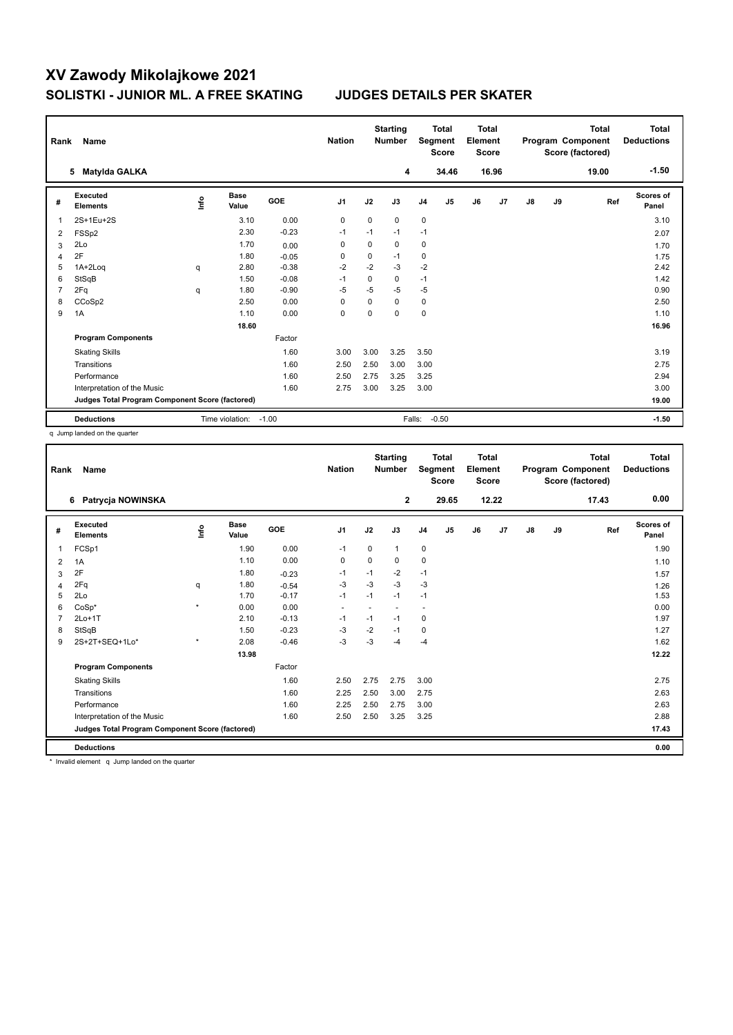| Rank           | Name                                            |      |                      |            | <b>Nation</b>  |             | <b>Starting</b><br><b>Total</b><br>Segment<br><b>Number</b><br><b>Score</b> |                | <b>Total</b><br>Element<br><b>Score</b> |    | <b>Total</b><br>Program Component<br>Score (factored) |    |    | Total<br><b>Deductions</b> |                    |
|----------------|-------------------------------------------------|------|----------------------|------------|----------------|-------------|-----------------------------------------------------------------------------|----------------|-----------------------------------------|----|-------------------------------------------------------|----|----|----------------------------|--------------------|
|                | Matylda GALKA<br>5.                             |      |                      |            |                |             | 4                                                                           |                | 34.46                                   |    | 16.96                                                 |    |    | 19.00                      | $-1.50$            |
| #              | <b>Executed</b><br><b>Elements</b>              | lnfo | <b>Base</b><br>Value | <b>GOE</b> | J <sub>1</sub> | J2          | J3                                                                          | J <sub>4</sub> | J <sub>5</sub>                          | J6 | J7                                                    | J8 | J9 | Ref                        | Scores of<br>Panel |
| 1              | 2S+1Eu+2S                                       |      | 3.10                 | 0.00       | $\mathbf 0$    | $\Omega$    | $\Omega$                                                                    | 0              |                                         |    |                                                       |    |    |                            | 3.10               |
| 2              | FSS <sub>p2</sub>                               |      | 2.30                 | $-0.23$    | $-1$           | $-1$        | $-1$                                                                        | $-1$           |                                         |    |                                                       |    |    |                            | 2.07               |
| 3              | 2Lo                                             |      | 1.70                 | 0.00       | 0              | 0           | 0                                                                           | 0              |                                         |    |                                                       |    |    |                            | 1.70               |
| $\overline{4}$ | 2F                                              |      | 1.80                 | $-0.05$    | $\Omega$       | $\mathbf 0$ | $-1$                                                                        | 0              |                                         |    |                                                       |    |    |                            | 1.75               |
| 5              | 1A+2Log                                         | q    | 2.80                 | $-0.38$    | $-2$           | $-2$        | $-3$                                                                        | $-2$           |                                         |    |                                                       |    |    |                            | 2.42               |
| 6              | StSqB                                           |      | 1.50                 | $-0.08$    | $-1$           | 0           | 0                                                                           | $-1$           |                                         |    |                                                       |    |    |                            | 1.42               |
| 7              | 2Fq                                             | q    | 1.80                 | $-0.90$    | $-5$           | $-5$        | -5                                                                          | $-5$           |                                         |    |                                                       |    |    |                            | 0.90               |
| 8              | CCoSp2                                          |      | 2.50                 | 0.00       | $\Omega$       | $\Omega$    | $\Omega$                                                                    | 0              |                                         |    |                                                       |    |    |                            | 2.50               |
| 9              | 1A                                              |      | 1.10                 | 0.00       | $\mathbf 0$    | $\Omega$    | $\Omega$                                                                    | $\mathbf 0$    |                                         |    |                                                       |    |    |                            | 1.10               |
|                |                                                 |      | 18.60                |            |                |             |                                                                             |                |                                         |    |                                                       |    |    |                            | 16.96              |
|                | <b>Program Components</b>                       |      |                      | Factor     |                |             |                                                                             |                |                                         |    |                                                       |    |    |                            |                    |
|                | <b>Skating Skills</b>                           |      |                      | 1.60       | 3.00           | 3.00        | 3.25                                                                        | 3.50           |                                         |    |                                                       |    |    |                            | 3.19               |
|                | Transitions                                     |      |                      | 1.60       | 2.50           | 2.50        | 3.00                                                                        | 3.00           |                                         |    |                                                       |    |    |                            | 2.75               |
|                | Performance                                     |      |                      | 1.60       | 2.50           | 2.75        | 3.25                                                                        | 3.25           |                                         |    |                                                       |    |    |                            | 2.94               |
|                | Interpretation of the Music                     |      |                      | 1.60       | 2.75           | 3.00        | 3.25                                                                        | 3.00           |                                         |    |                                                       |    |    |                            | 3.00               |
|                | Judges Total Program Component Score (factored) |      |                      |            |                |             |                                                                             |                |                                         |    |                                                       |    |    |                            | 19.00              |
|                | <b>Deductions</b>                               |      | Time violation:      | $-1.00$    |                |             |                                                                             | Falls:         | $-0.50$                                 |    |                                                       |    |    |                            | $-1.50$            |

q Jump landed on the quarter

| Rank | Name                                            |         |                      |         | <b>Nation</b>  |          | <b>Starting</b><br><b>Number</b> |                          | <b>Total</b><br>Segment<br><b>Score</b> | <b>Total</b><br>Element<br><b>Score</b> |       |               |    | <b>Total</b><br>Program Component<br>Score (factored) | <b>Total</b><br><b>Deductions</b> |
|------|-------------------------------------------------|---------|----------------------|---------|----------------|----------|----------------------------------|--------------------------|-----------------------------------------|-----------------------------------------|-------|---------------|----|-------------------------------------------------------|-----------------------------------|
|      | Patrycja NOWINSKA<br>6                          |         |                      |         |                |          | $\mathbf{2}$                     |                          | 29.65                                   |                                         | 12.22 |               |    | 17.43                                                 | 0.00                              |
| #    | <b>Executed</b><br><b>Elements</b>              | Linfo   | <b>Base</b><br>Value | GOE     | J <sub>1</sub> | J2       | J3                               | J <sub>4</sub>           | J5                                      | J6                                      | J7    | $\mathsf{J}8$ | J9 | Ref                                                   | <b>Scores of</b><br>Panel         |
| 1    | FCSp1                                           |         | 1.90                 | 0.00    | $-1$           | 0        | 1                                | $\pmb{0}$                |                                         |                                         |       |               |    |                                                       | 1.90                              |
| 2    | 1A                                              |         | 1.10                 | 0.00    | 0              | $\Omega$ | 0                                | 0                        |                                         |                                         |       |               |    |                                                       | 1.10                              |
| 3    | 2F                                              |         | 1.80                 | $-0.23$ | $-1$           | $-1$     | $-2$                             | $-1$                     |                                         |                                         |       |               |    |                                                       | 1.57                              |
| 4    | 2Fq                                             | q       | 1.80                 | $-0.54$ | -3             | $-3$     | $-3$                             | $-3$                     |                                         |                                         |       |               |    |                                                       | 1.26                              |
| 5    | 2Lo                                             |         | 1.70                 | $-0.17$ | $-1$           | $-1$     | $-1$                             | $-1$                     |                                         |                                         |       |               |    |                                                       | 1.53                              |
| 6    | $CoSp*$                                         | $\star$ | 0.00                 | 0.00    | $\blacksquare$ |          | ٠                                | $\overline{\phantom{a}}$ |                                         |                                         |       |               |    |                                                       | 0.00                              |
|      | $2Lo+1T$                                        |         | 2.10                 | $-0.13$ | $-1$           | $-1$     | $-1$                             | 0                        |                                         |                                         |       |               |    |                                                       | 1.97                              |
| 8    | StSqB                                           |         | 1.50                 | $-0.23$ | $-3$           | $-2$     | $-1$                             | $\pmb{0}$                |                                         |                                         |       |               |    |                                                       | 1.27                              |
| 9    | 2S+2T+SEQ+1Lo*                                  | $\star$ | 2.08                 | $-0.46$ | $-3$           | $-3$     | $-4$                             | $-4$                     |                                         |                                         |       |               |    |                                                       | 1.62                              |
|      |                                                 |         | 13.98                |         |                |          |                                  |                          |                                         |                                         |       |               |    |                                                       | 12.22                             |
|      | <b>Program Components</b>                       |         |                      | Factor  |                |          |                                  |                          |                                         |                                         |       |               |    |                                                       |                                   |
|      | <b>Skating Skills</b>                           |         |                      | 1.60    | 2.50           | 2.75     | 2.75                             | 3.00                     |                                         |                                         |       |               |    |                                                       | 2.75                              |
|      | Transitions                                     |         |                      | 1.60    | 2.25           | 2.50     | 3.00                             | 2.75                     |                                         |                                         |       |               |    |                                                       | 2.63                              |
|      | Performance                                     |         |                      | 1.60    | 2.25           | 2.50     | 2.75                             | 3.00                     |                                         |                                         |       |               |    |                                                       | 2.63                              |
|      | Interpretation of the Music                     |         |                      | 1.60    | 2.50           | 2.50     | 3.25                             | 3.25                     |                                         |                                         |       |               |    |                                                       | 2.88                              |
|      | Judges Total Program Component Score (factored) |         |                      |         |                |          |                                  |                          |                                         |                                         |       |               |    |                                                       | 17.43                             |
|      | <b>Deductions</b>                               |         |                      |         |                |          |                                  |                          |                                         |                                         |       |               |    |                                                       | 0.00                              |

\* Invalid element q Jump landed on the quarter